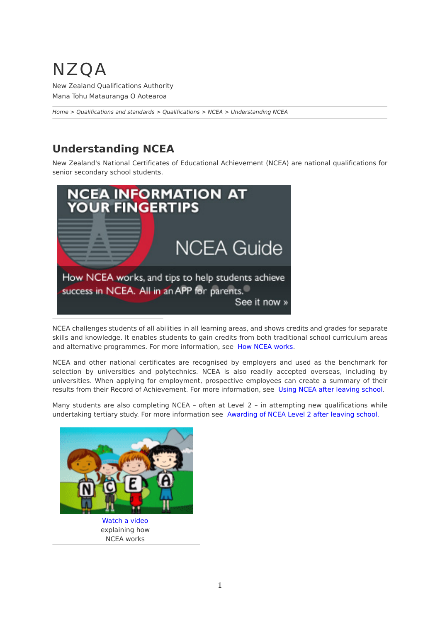## NZQA

New Zealand Qualifications Authority Mana Tohu Matauranga O Aotearoa

*[Home](http://www.nzqa.govt.nz/home) > [Qualifications and standards](http://www.nzqa.govt.nz/qualifications-standards/) > [Qualifications](http://www.nzqa.govt.nz/qualifications-standards/qualifications/) > [NCEA](http://www.nzqa.govt.nz/qualifications-standards/qualifications/ncea/) > Understanding NCEA*

## **Understanding NCEA**

New Zealand's National Certificates of Educational Achievement (NCEA) are national qualifications for senior secondary school students.



NCEA challenges students of all abilities in all learning areas, and shows credits and grades for separate skills and knowledge. It enables students to gain credits from both traditional school curriculum areas and alternative programmes. For more information, see [How NCEA works.](http://www.nzqa.govt.nz/qualifications-standards/qualifications/ncea/understanding-ncea/how-ncea-works/)

NCEA and other national certificates are recognised by employers and used as the benchmark for selection by universities and polytechnics. NCEA is also readily accepted overseas, including by universities. When applying for employment, prospective employees can create a summary of their results from their Record of Achievement. For more information, see [Using NCEA after leaving school.](http://www.nzqa.govt.nz/qualifications-standards/qualifications/ncea/understanding-ncea/using-ncea-after-leaving-school/)

Many students are also completing NCEA - often at Level 2 - in attempting new qualifications while undertaking tertiary study. For more information see [Awarding of NCEA Level 2 after leaving school.](http://www.nzqa.govt.nz/qualifications-standards/qualifications/ncea/understanding-ncea/awarding-of-ncea-level-2-after-leaving-school/)



[Watch a video](http://www.nzqa.govt.nz/qualifications-standards/qualifications/ncea/understanding-ncea/how-ncea-works/video/) explaining how NCEA works